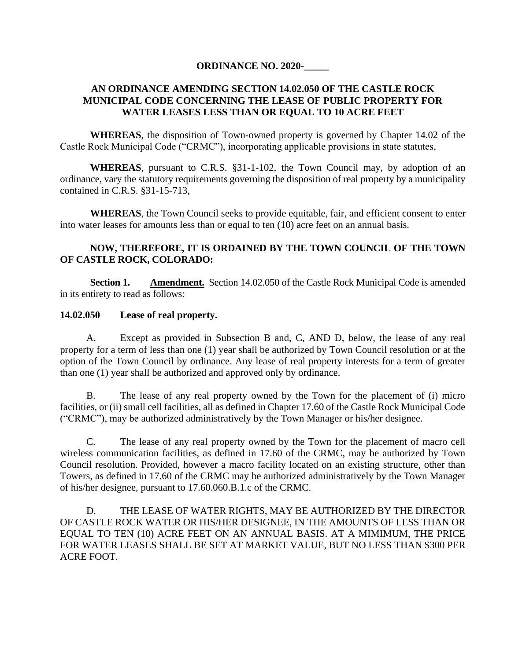## **ORDINANCE NO. 2020-\_\_\_\_\_**

## **AN ORDINANCE AMENDING SECTION 14.02.050 OF THE CASTLE ROCK MUNICIPAL CODE CONCERNING THE LEASE OF PUBLIC PROPERTY FOR WATER LEASES LESS THAN OR EQUAL TO 10 ACRE FEET**

**WHEREAS**, the disposition of Town-owned property is governed by Chapter 14.02 of the Castle Rock Municipal Code ("CRMC"), incorporating applicable provisions in state statutes,

**WHEREAS**, pursuant to C.R.S. §31-1-102, the Town Council may, by adoption of an ordinance, vary the statutory requirements governing the disposition of real property by a municipality contained in C.R.S. §31-15-713,

**WHEREAS**, the Town Council seeks to provide equitable, fair, and efficient consent to enter into water leases for amounts less than or equal to ten (10) acre feet on an annual basis.

## **NOW, THEREFORE, IT IS ORDAINED BY THE TOWN COUNCIL OF THE TOWN OF CASTLE ROCK, COLORADO:**

**Section 1. Amendment.** Section 14.02.050 of the Castle Rock Municipal Code is amended in its entirety to read as follows:

## **14.02.050 Lease of real property.**

A. Except as provided in Subsection B and, C, AND D, below, the lease of any real property for a term of less than one (1) year shall be authorized by Town Council resolution or at the option of the Town Council by ordinance. Any lease of real property interests for a term of greater than one (1) year shall be authorized and approved only by ordinance.

B. The lease of any real property owned by the Town for the placement of (i) micro facilities, or (ii) small cell facilities, all as defined in Chapter 17.60 of the Castle Rock Municipal Code ("CRMC"), may be authorized administratively by the Town Manager or his/her designee.

C. The lease of any real property owned by the Town for the placement of macro cell wireless communication facilities, as defined in 17.60 of the CRMC, may be authorized by Town Council resolution. Provided, however a macro facility located on an existing structure, other than Towers, as defined in 17.60 of the CRMC may be authorized administratively by the Town Manager of his/her designee, pursuant to 17.60.060.B.1.c of the CRMC.

D. THE LEASE OF WATER RIGHTS, MAY BE AUTHORIZED BY THE DIRECTOR OF CASTLE ROCK WATER OR HIS/HER DESIGNEE, IN THE AMOUNTS OF LESS THAN OR EQUAL TO TEN (10) ACRE FEET ON AN ANNUAL BASIS. AT A MIMIMUM, THE PRICE FOR WATER LEASES SHALL BE SET AT MARKET VALUE, BUT NO LESS THAN \$300 PER ACRE FOOT.